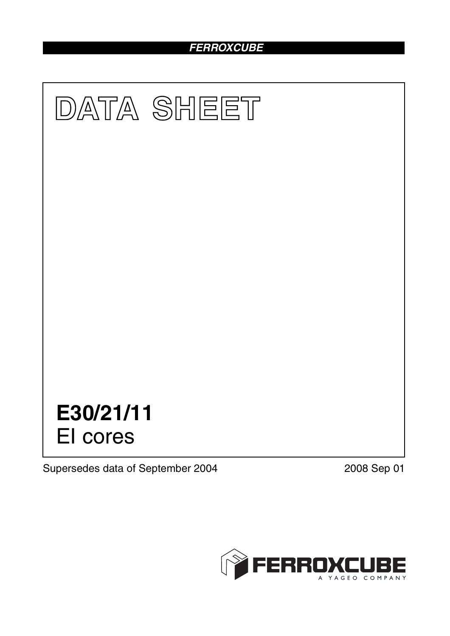# *FERROXCUBE*



Supersedes data of September 2004 2008 Sep 01

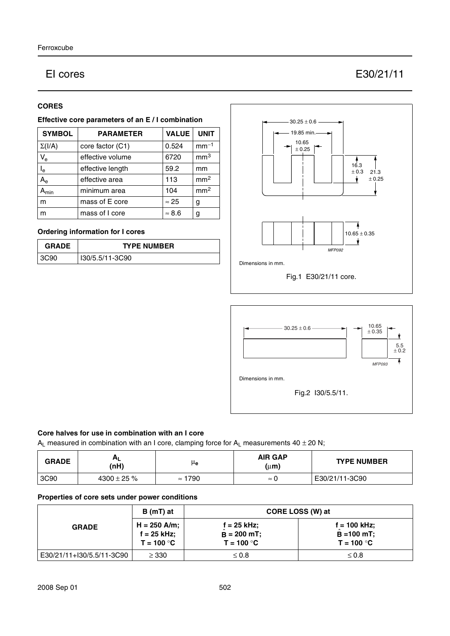## EI cores E30/21/11

#### **CORES**

#### **Effective core parameters of an E / I combination**

| <b>SYMBOL</b>           | <b>PARAMETER</b> | <b>VALUE</b>  | <b>UNIT</b>     |
|-------------------------|------------------|---------------|-----------------|
| $\Sigma(I/A)$           | core factor (C1) | 0.524         | $mm-1$          |
| $V_{e}$                 | effective volume | 6720          | mm <sup>3</sup> |
| $\mathsf{I}_\mathsf{e}$ | effective length | 59.2          | mm              |
| $A_{\rm e}$             | effective area   | 113           | mm <sup>2</sup> |
| Վmin                    | minimum area     | 104           | mm <sup>2</sup> |
| m                       | mass of E core   | $\approx 25$  | g               |
| m                       | mass of I core   | $\approx 8.6$ | g               |

### **Ordering information for I cores**

| <b>GRADE</b> | <b>TYPE NUMBER</b> |
|--------------|--------------------|
| 3C90         | I30/5.5/11-3C90    |





#### **Core halves for use in combination with an I core**

A<sub>L</sub> measured in combination with an I core, clamping force for A<sub>L</sub> measurements  $40 \pm 20$  N;

| <b>GRADE</b> | Aι<br>(nH)       | μe             | <b>AIR GAP</b><br>$(\mu m)$ | <b>TYPE NUMBER</b> |
|--------------|------------------|----------------|-----------------------------|--------------------|
| 3C90         | $4300 \pm 25 \%$ | $\approx 1790$ | $\approx$                   | E30/21/11-3C90     |

### **Properties of core sets under power conditions**

| <b>GRADE</b>              | $B(mT)$ at                                      | CORE LOSS (W) at                               |                                                       |  |
|---------------------------|-------------------------------------------------|------------------------------------------------|-------------------------------------------------------|--|
|                           | $H = 250$ A/m;<br>$f = 25$ kHz;<br>$T = 100 °C$ | $f = 25$ kHz;<br>$B = 200$ mT;<br>$T = 100 °C$ | $f = 100$ kHz;<br>$\hat{B} = 100$ mT;<br>$T = 100 °C$ |  |
| E30/21/11+I30/5.5/11-3C90 | $\geq$ 330                                      | $\leq 0.8$                                     | $\leq 0.8$                                            |  |